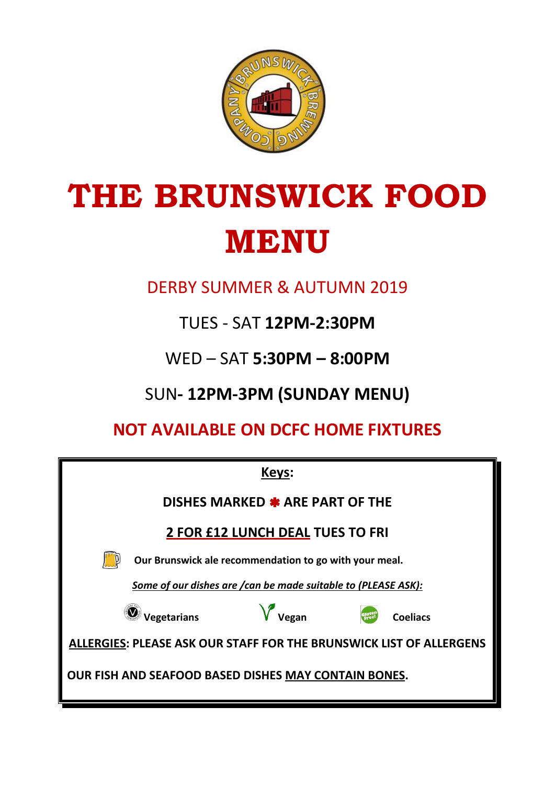

# **THE BRUNSWICK FOOD MENU**

DERBY SUMMER & AUTUMN 2019

TUES - SAT **12PM-2:30PM**

WED – SAT **5:30PM – 8:00PM**

SUN**- 12PM-3PM (SUNDAY MENU)**

**NOT AVAILABLE ON DCFC HOME FIXTURES**

| Keys:                                                                      |                                  |                   |  |                 |
|----------------------------------------------------------------------------|----------------------------------|-------------------|--|-----------------|
| DISHES MARKED * ARE PART OF THE                                            |                                  |                   |  |                 |
| <b>2 FOR £12 LUNCH DEAL TUES TO FRI</b>                                    |                                  |                   |  |                 |
| Our Brunswick ale recommendation to go with your meal.                     |                                  |                   |  |                 |
| Some of our dishes are / can be made suitable to (PLEASE ASK):             |                                  |                   |  |                 |
|                                                                            | $\sqrt{\phantom{a}}$ Vegetarians | $\sqrt{\ }$ Vegan |  | <b>Coeliacs</b> |
| <b>ALLERGIES: PLEASE ASK OUR STAFF FOR THE BRUNSWICK LIST OF ALLERGENS</b> |                                  |                   |  |                 |
| OUR FISH AND SEAFOOD BASED DISHES MAY CONTAIN BONES.                       |                                  |                   |  |                 |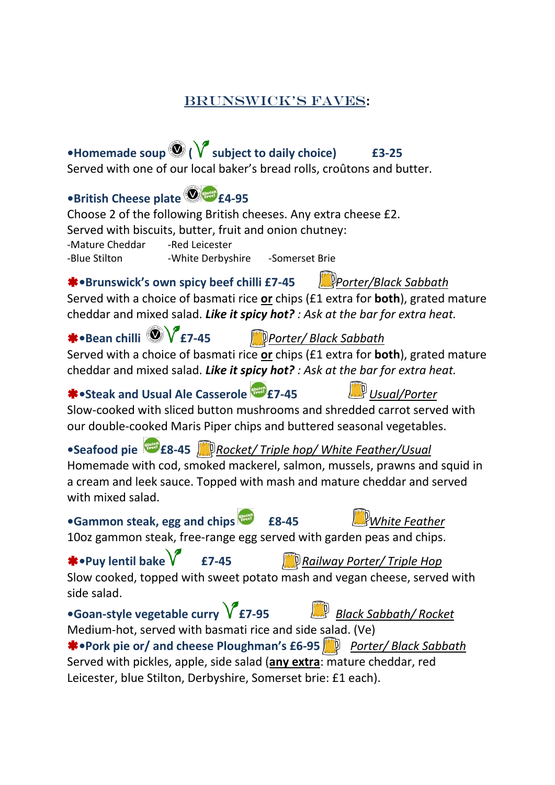#### BRUNSWICK'S FAVeS:

**•Homemade soup ( subject to daily choice) £3-25** Served with one of our local baker's bread rolls, croûtons and butter.

# **•British Cheese plate £4-95**

Choose 2 of the following British cheeses. Any extra cheese £2. Served with biscuits, butter, fruit and onion chutney: -Mature Cheddar - Red Leicester -Blue Stilton -White Derbyshire -Somerset Brie

**•Brunswick's own spicy beef chilli £7-45** *Porter/Black Sabbath*

Served with a choice of basmati rice **or** chips (£1 extra for **both**), grated mature cheddar and mixed salad. *Like it spicy hot? : Ask at the bar for extra heat.*

**•Bean chilli £7-45** *Porter/ Black Sabbath* Served with a choice of basmati rice **or** chips (£1 extra for **both**), grated mature

cheddar and mixed salad. *Like it spicy hot? : Ask at the bar for extra heat.*

# **•Steak and Usual Ale Casserole £7-45** *Usual/Porter*

Slow-cooked with sliced button mushrooms and shredded carrot served with our double-cooked Maris Piper chips and buttered seasonal vegetables.

**•Seafood pie £8-45** *Rocket/ Triple hop/ White Feather/Usual*

Homemade with cod, smoked mackerel, salmon, mussels, prawns and squid in a cream and leek sauce. Topped with mash and mature cheddar and served with mixed salad.

# **•Gammon steak, egg and chips £8-45** *White Feather*

10oz gammon steak, free-range egg served with garden peas and chips.

# **•Puy lentil bake £7-45** *Railway Porter/ Triple Hop*

Slow cooked, topped with sweet potato mash and vegan cheese, served with side salad.

**•Goan-style vegetable curry £7-95** *Black Sabbath/ Rocket*

Medium-hot, served with basmati rice and side salad. (Ve) **\*** •Pork pie or/ and cheese Ploughman's £6-95 *Departer / Black Sabbath* Served with pickles, apple, side salad (**any extra**: mature cheddar, red Leicester, blue Stilton, Derbyshire, Somerset brie: £1 each).

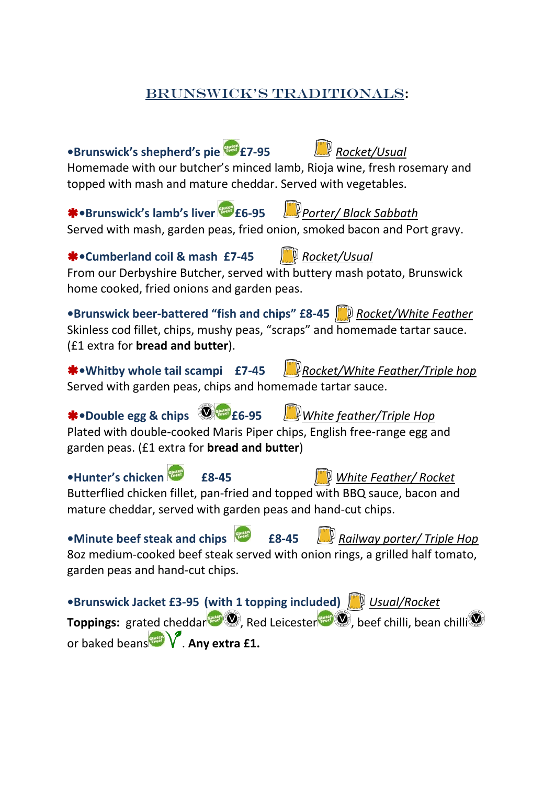### BRUNSWICK'S TRADITIONALS:

**•Brunswick's shepherd's pie £7-95** *Rocket/Usual*

# Homemade with our butcher's minced lamb, Rioja wine, fresh rosemary and topped with mash and mature cheddar. Served with vegetables. **\*** •Brunswick's lamb's liver *FRI* £6-95 *Porter/ Black Sabbath* Served with mash, garden peas, fried onion, smoked bacon and Port gravy. **•Cumberland coil & mash £7-45** *Rocket/Usual* From our Derbyshire Butcher, served with buttery mash potato, Brunswick home cooked, fried onions and garden peas. **•Brunswick beer-battered "fish and chips" £8-45** *Rocket/White Feather* Skinless cod fillet, chips, mushy peas, "scraps" and homemade tartar sauce. (£1 extra for **bread and butter**). **•Whitby whole tail scampi £7-45** *Rocket/White Feather/Triple hop* Served with garden peas, chips and homemade tartar sauce. **•Double egg & chips £6-95** *White feather/Triple Hop* Plated with double-cooked Maris Piper chips, English free-range egg and garden peas. (£1 extra for **bread and butter**) **•Hunter's chicken £8-45** *White Feather/ Rocket* Butterflied chicken fillet, pan-fried and topped with BBQ sauce, bacon and mature cheddar, served with garden peas and hand-cut chips. **•Minute beef steak and chips £8-45** *Railway porter/ Triple Hop* 8oz medium-cooked beef steak served with onion rings, a grilled half tomato, garden peas and hand-cut chips. **•Brunswick Jacket £3-95 (with 1 topping included)** *Usual/Rocket* **Toppings:** grated cheddar , Red Leicester **(20)**, beef chilli, bean chilli or baked beans<sup>ement</sup> . Any extra £1.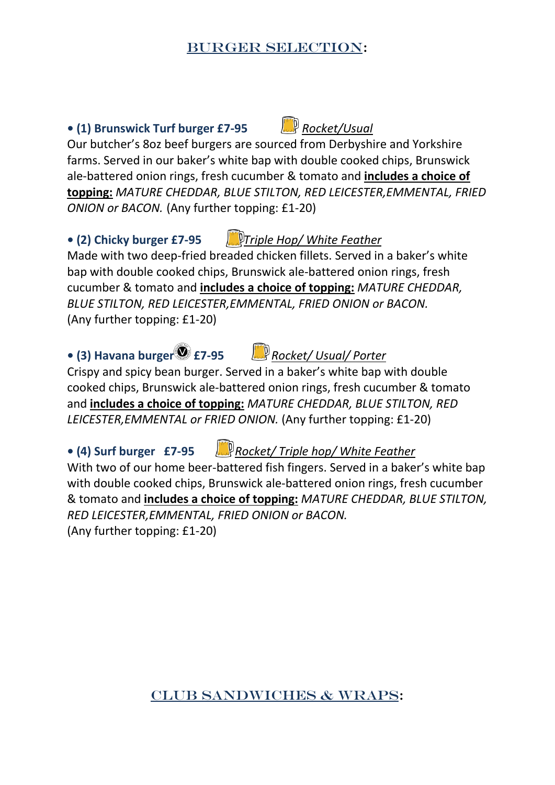#### BURGER SELECTION:

# **• (1) Brunswick Turf burger £7-95** *Rocket/Usual*

Our butcher's 8oz beef burgers are sourced from Derbyshire and Yorkshire farms. Served in our baker's white bap with double cooked chips, Brunswick ale-battered onion rings, fresh cucumber & tomato and **includes a choice of topping:** *MATURE CHEDDAR, BLUE STILTON, RED LEICESTER,EMMENTAL, FRIED ONION or BACON.* (Any further topping: £1-20)

**• (2) Chicky burger £7-95** *Triple Hop/ White Feather*

Made with two deep-fried breaded chicken fillets. Served in a baker's white bap with double cooked chips, Brunswick ale-battered onion rings, fresh cucumber & tomato and **includes a choice of topping:** *MATURE CHEDDAR, BLUE STILTON, RED LEICESTER,EMMENTAL, FRIED ONION or BACON.* (Any further topping: £1-20)

# **• (3) Havana burger £7-95** *Rocket/ Usual/ Porter*

Crispy and spicy bean burger. Served in a baker's white bap with double cooked chips, Brunswick ale-battered onion rings, fresh cucumber & tomato and **includes a choice of topping:** *MATURE CHEDDAR, BLUE STILTON, RED LEICESTER,EMMENTAL or FRIED ONION.* (Any further topping: £1-20)

# **• (4) Surf burger £7-95** *Rocket/ Triple hop/ White Feather*

With two of our home beer-battered fish fingers. Served in a baker's white bap with double cooked chips, Brunswick ale-battered onion rings, fresh cucumber & tomato and **includes a choice of topping:** *MATURE CHEDDAR, BLUE STILTON, RED LEICESTER,EMMENTAL, FRIED ONION or BACON.* (Any further topping: £1-20)